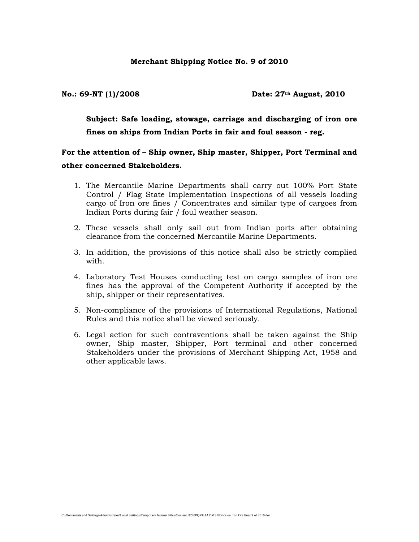**No.: 69-NT (1)/2008 Date: 27th August, 2010** 

**Subject: Safe loading, stowage, carriage and discharging of iron ore fines on ships from Indian Ports in fair and foul season - reg.** 

**For the attention of – Ship owner, Ship master, Shipper, Port Terminal and other concerned Stakeholders.** 

- 1. The Mercantile Marine Departments shall carry out 100% Port State Control / Flag State Implementation Inspections of all vessels loading cargo of Iron ore fines / Concentrates and similar type of cargoes from Indian Ports during fair / foul weather season.
- 2. These vessels shall only sail out from Indian ports after obtaining clearance from the concerned Mercantile Marine Departments.
- 3. In addition, the provisions of this notice shall also be strictly complied with.
- 4. Laboratory Test Houses conducting test on cargo samples of iron ore fines has the approval of the Competent Authority if accepted by the ship, shipper or their representatives.
- 5. Non-compliance of the provisions of International Regulations, National Rules and this notice shall be viewed seriously.
- 6. Legal action for such contraventions shall be taken against the Ship owner, Ship master, Shipper, Port terminal and other concerned Stakeholders under the provisions of Merchant Shipping Act, 1958 and other applicable laws.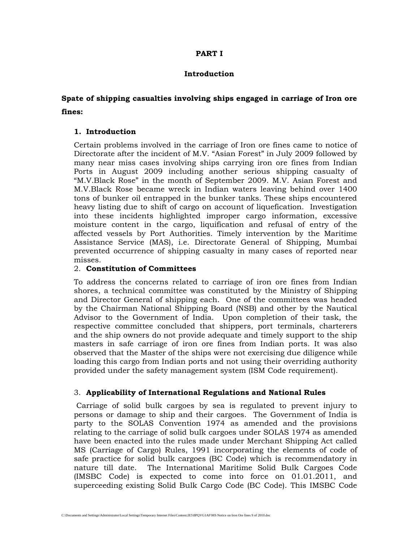# **PART I**

#### **Introduction**

# **Spate of shipping casualties involving ships engaged in carriage of Iron ore fines:**

# **1. Introduction**

Certain problems involved in the carriage of Iron ore fines came to notice of Directorate after the incident of M.V. "Asian Forest" in July 2009 followed by many near miss cases involving ships carrying iron ore fines from Indian Ports in August 2009 including another serious shipping casualty of "M.V.Black Rose" in the month of September 2009. M.V. Asian Forest and M.V.Black Rose became wreck in Indian waters leaving behind over 1400 tons of bunker oil entrapped in the bunker tanks. These ships encountered heavy listing due to shift of cargo on account of liquefication. Investigation into these incidents highlighted improper cargo information, excessive moisture content in the cargo, liquification and refusal of entry of the affected vessels by Port Authorities. Timely intervention by the Maritime Assistance Service (MAS), i.e. Directorate General of Shipping, Mumbai prevented occurrence of shipping casualty in many cases of reported near misses.

#### 2. **Constitution of Committees**

To address the concerns related to carriage of iron ore fines from Indian shores, a technical committee was constituted by the Ministry of Shipping and Director General of shipping each. One of the committees was headed by the Chairman National Shipping Board (NSB) and other by the Nautical Advisor to the Government of India. Upon completion of their task, the respective committee concluded that shippers, port terminals, charterers and the ship owners do not provide adequate and timely support to the ship masters in safe carriage of iron ore fines from Indian ports. It was also observed that the Master of the ships were not exercising due diligence while loading this cargo from Indian ports and not using their overriding authority provided under the safety management system (ISM Code requirement).

# 3. **Applicability of International Regulations and National Rules**

 Carriage of solid bulk cargoes by sea is regulated to prevent injury to persons or damage to ship and their cargoes. The Government of India is party to the SOLAS Convention 1974 as amended and the provisions relating to the carriage of solid bulk cargoes under SOLAS 1974 as amended have been enacted into the rules made under Merchant Shipping Act called MS (Carriage of Cargo) Rules, 1991 incorporating the elements of code of safe practice for solid bulk cargoes (BC Code) which is recommendatory in nature till date. The International Maritime Solid Bulk Cargoes Code (IMSBC Code) is expected to come into force on 01.01.2011, and superceeding existing Solid Bulk Cargo Code (BC Code). This IMSBC Code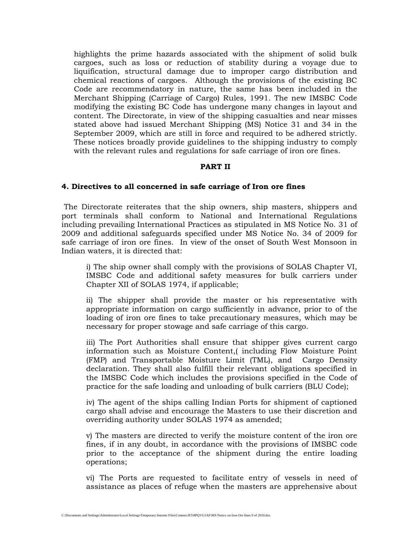highlights the prime hazards associated with the shipment of solid bulk cargoes, such as loss or reduction of stability during a voyage due to liquification, structural damage due to improper cargo distribution and chemical reactions of cargoes.Although the provisions of the existing BC Code are recommendatory in nature, the same has been included in the Merchant Shipping (Carriage of Cargo) Rules, 1991. The new IMSBC Code modifying the existing BC Code has undergone many changes in layout and content. The Directorate, in view of the shipping casualties and near misses stated above had issued Merchant Shipping (MS) Notice 31 and 34 in the September 2009, which are still in force and required to be adhered strictly. These notices broadly provide guidelines to the shipping industry to comply with the relevant rules and regulations for safe carriage of iron ore fines.

#### **PART II**

#### **4. Directives to all concerned in safe carriage of Iron ore fines**

 The Directorate reiterates that the ship owners, ship masters, shippers and port terminals shall conform to National and International Regulations including prevailing International Practices as stipulated in MS Notice No. 31 of 2009 and additional safeguards specified under MS Notice No. 34 of 2009 for safe carriage of iron ore fines. In view of the onset of South West Monsoon in Indian waters, it is directed that:

i) The ship owner shall comply with the provisions of SOLAS Chapter VI, IMSBC Code and additional safety measures for bulk carriers under Chapter XII of SOLAS 1974, if applicable;

ii) The shipper shall provide the master or his representative with appropriate information on cargo sufficiently in advance, prior to of the loading of iron ore fines to take precautionary measures, which may be necessary for proper stowage and safe carriage of this cargo.

iii) The Port Authorities shall ensure that shipper gives current cargo information such as Moisture Content,( including Flow Moisture Point (FMP) and Transportable Moisture Limit (TML), and Cargo Density declaration. They shall also fulfill their relevant obligations specified in the IMSBC Code which includes the provisions specified in the Code of practice for the safe loading and unloading of bulk carriers (BLU Code);

iv) The agent of the ships calling Indian Ports for shipment of captioned cargo shall advise and encourage the Masters to use their discretion and overriding authority under SOLAS 1974 as amended;

v) The masters are directed to verify the moisture content of the iron ore fines, if in any doubt, in accordance with the provisions of IMSBC code prior to the acceptance of the shipment during the entire loading operations;

vi) The Ports are requested to facilitate entry of vessels in need of assistance as places of refuge when the masters are apprehensive about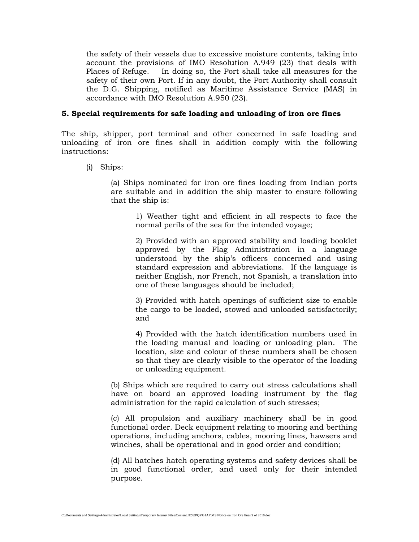the safety of their vessels due to excessive moisture contents, taking into account the provisions of IMO Resolution A.949 (23) that deals with Places of Refuge. In doing so, the Port shall take all measures for the safety of their own Port. If in any doubt, the Port Authority shall consult the D.G. Shipping, notified as Maritime Assistance Service (MAS) in accordance with IMO Resolution A.950 (23).

# **5. Special requirements for safe loading and unloading of iron ore fines**

The ship, shipper, port terminal and other concerned in safe loading and unloading of iron ore fines shall in addition comply with the following instructions:

(i) Ships:

(a) Ships nominated for iron ore fines loading from Indian ports are suitable and in addition the ship master to ensure following that the ship is:

> 1) Weather tight and efficient in all respects to face the normal perils of the sea for the intended voyage;

> 2) Provided with an approved stability and loading booklet approved by the Flag Administration in a language understood by the ship's officers concerned and using standard expression and abbreviations. If the language is neither English, nor French, not Spanish, a translation into one of these languages should be included;

> 3) Provided with hatch openings of sufficient size to enable the cargo to be loaded, stowed and unloaded satisfactorily; and

> 4) Provided with the hatch identification numbers used in the loading manual and loading or unloading plan. The location, size and colour of these numbers shall be chosen so that they are clearly visible to the operator of the loading or unloading equipment.

(b) Ships which are required to carry out stress calculations shall have on board an approved loading instrument by the flag administration for the rapid calculation of such stresses;

(c) All propulsion and auxiliary machinery shall be in good functional order. Deck equipment relating to mooring and berthing operations, including anchors, cables, mooring lines, hawsers and winches, shall be operational and in good order and condition;

(d) All hatches hatch operating systems and safety devices shall be in good functional order, and used only for their intended purpose.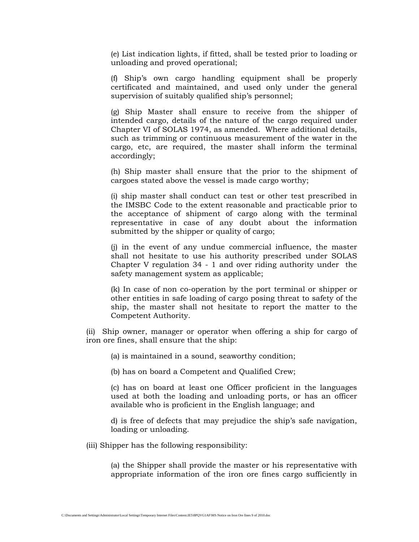(e) List indication lights, if fitted, shall be tested prior to loading or unloading and proved operational;

(f) Ship's own cargo handling equipment shall be properly certificated and maintained, and used only under the general supervision of suitably qualified ship's personnel;

(g) Ship Master shall ensure to receive from the shipper of intended cargo, details of the nature of the cargo required under Chapter VI of SOLAS 1974, as amended. Where additional details, such as trimming or continuous measurement of the water in the cargo, etc, are required, the master shall inform the terminal accordingly;

(h) Ship master shall ensure that the prior to the shipment of cargoes stated above the vessel is made cargo worthy;

(i) ship master shall conduct can test or other test prescribed in the IMSBC Code to the extent reasonable and practicable prior to the acceptance of shipment of cargo along with the terminal representative in case of any doubt about the information submitted by the shipper or quality of cargo;

(j) in the event of any undue commercial influence, the master shall not hesitate to use his authority prescribed under SOLAS Chapter V regulation 34 - 1 and over riding authority under the safety management system as applicable;

(k) In case of non co-operation by the port terminal or shipper or other entities in safe loading of cargo posing threat to safety of the ship, the master shall not hesitate to report the matter to the Competent Authority.

(ii) Ship owner, manager or operator when offering a ship for cargo of iron ore fines, shall ensure that the ship:

(a) is maintained in a sound, seaworthy condition;

(b) has on board a Competent and Qualified Crew;

(c) has on board at least one Officer proficient in the languages used at both the loading and unloading ports, or has an officer available who is proficient in the English language; and

d) is free of defects that may prejudice the ship's safe navigation, loading or unloading.

(iii) Shipper has the following responsibility:

(a) the Shipper shall provide the master or his representative with appropriate information of the iron ore fines cargo sufficiently in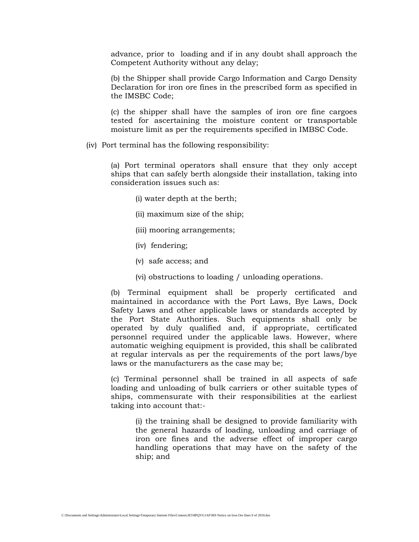advance, prior to loading and if in any doubt shall approach the Competent Authority without any delay;

(b) the Shipper shall provide Cargo Information and Cargo Density Declaration for iron ore fines in the prescribed form as specified in the IMSBC Code;

(c) the shipper shall have the samples of iron ore fine cargoes tested for ascertaining the moisture content or transportable moisture limit as per the requirements specified in IMBSC Code.

(iv) Port terminal has the following responsibility:

(a) Port terminal operators shall ensure that they only accept ships that can safely berth alongside their installation, taking into consideration issues such as:

- (i) water depth at the berth;
- (ii) maximum size of the ship;
- (iii) mooring arrangements;
- (iv) fendering;
- (v) safe access; and
- (vi) obstructions to loading / unloading operations.

(b) Terminal equipment shall be properly certificated and maintained in accordance with the Port Laws, Bye Laws, Dock Safety Laws and other applicable laws or standards accepted by the Port State Authorities. Such equipments shall only be operated by duly qualified and, if appropriate, certificated personnel required under the applicable laws. However, where automatic weighing equipment is provided, this shall be calibrated at regular intervals as per the requirements of the port laws/bye laws or the manufacturers as the case may be;

(c) Terminal personnel shall be trained in all aspects of safe loading and unloading of bulk carriers or other suitable types of ships, commensurate with their responsibilities at the earliest taking into account that:-

(i) the training shall be designed to provide familiarity with the general hazards of loading, unloading and carriage of iron ore fines and the adverse effect of improper cargo handling operations that may have on the safety of the ship; and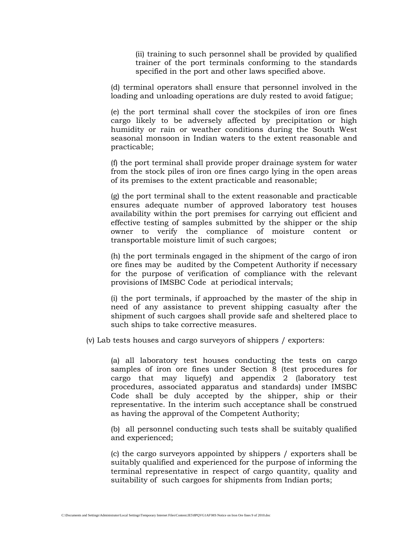(ii) training to such personnel shall be provided by qualified trainer of the port terminals conforming to the standards specified in the port and other laws specified above.

(d) terminal operators shall ensure that personnel involved in the loading and unloading operations are duly rested to avoid fatigue;

(e) the port terminal shall cover the stockpiles of iron ore fines cargo likely to be adversely affected by precipitation or high humidity or rain or weather conditions during the South West seasonal monsoon in Indian waters to the extent reasonable and practicable;

(f) the port terminal shall provide proper drainage system for water from the stock piles of iron ore fines cargo lying in the open areas of its premises to the extent practicable and reasonable;

(g) the port terminal shall to the extent reasonable and practicable ensures adequate number of approved laboratory test houses availability within the port premises for carrying out efficient and effective testing of samples submitted by the shipper or the ship owner to verify the compliance of moisture content or transportable moisture limit of such cargoes;

(h) the port terminals engaged in the shipment of the cargo of iron ore fines may be audited by the Competent Authority if necessary for the purpose of verification of compliance with the relevant provisions of IMSBC Code at periodical intervals;

(i) the port terminals, if approached by the master of the ship in need of any assistance to prevent shipping casualty after the shipment of such cargoes shall provide safe and sheltered place to such ships to take corrective measures.

(v) Lab tests houses and cargo surveyors of shippers / exporters:

(a) all laboratory test houses conducting the tests on cargo samples of iron ore fines under Section 8 (test procedures for cargo that may liquefy) and appendix 2 (laboratory test procedures, associated apparatus and standards) under IMSBC Code shall be duly accepted by the shipper, ship or their representative. In the interim such acceptance shall be construed as having the approval of the Competent Authority;

(b) all personnel conducting such tests shall be suitably qualified and experienced;

(c) the cargo surveyors appointed by shippers / exporters shall be suitably qualified and experienced for the purpose of informing the terminal representative in respect of cargo quantity, quality and suitability of such cargoes for shipments from Indian ports;

C:\Documents and Settings\Administrator\Local Settings\Temporary Internet Files\Content.IE5\8PQVG1AF\MS Notice on Iron Ore fines 9 of 2010.doc